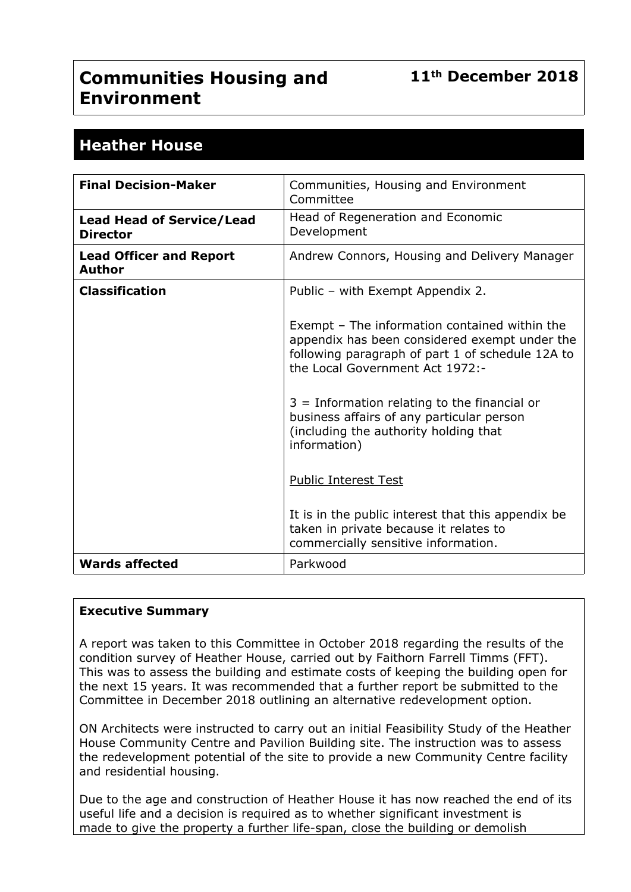# **Communities Housing and Environment**

# **Heather House**

| <b>Final Decision-Maker</b>                         | Communities, Housing and Environment<br>Committee                                                                                                                                     |
|-----------------------------------------------------|---------------------------------------------------------------------------------------------------------------------------------------------------------------------------------------|
| <b>Lead Head of Service/Lead</b><br><b>Director</b> | Head of Regeneration and Economic<br>Development                                                                                                                                      |
| <b>Lead Officer and Report</b><br>Author            | Andrew Connors, Housing and Delivery Manager                                                                                                                                          |
| <b>Classification</b>                               | Public - with Exempt Appendix 2.                                                                                                                                                      |
|                                                     | Exempt - The information contained within the<br>appendix has been considered exempt under the<br>following paragraph of part 1 of schedule 12A to<br>the Local Government Act 1972:- |
|                                                     | $3 =$ Information relating to the financial or<br>business affairs of any particular person<br>(including the authority holding that<br>information)                                  |
|                                                     | <b>Public Interest Test</b>                                                                                                                                                           |
|                                                     | It is in the public interest that this appendix be<br>taken in private because it relates to<br>commercially sensitive information.                                                   |
| <b>Wards affected</b>                               | Parkwood                                                                                                                                                                              |

#### **Executive Summary**

A report was taken to this Committee in October 2018 regarding the results of the condition survey of Heather House, carried out by Faithorn Farrell Timms (FFT). This was to assess the building and estimate costs of keeping the building open for the next 15 years. It was recommended that a further report be submitted to the Committee in December 2018 outlining an alternative redevelopment option.

ON Architects were instructed to carry out an initial Feasibility Study of the Heather House Community Centre and Pavilion Building site. The instruction was to assess the redevelopment potential of the site to provide a new Community Centre facility and residential housing.

Due to the age and construction of Heather House it has now reached the end of its useful life and a decision is required as to whether significant investment is made to give the property a further life-span, close the building or demolish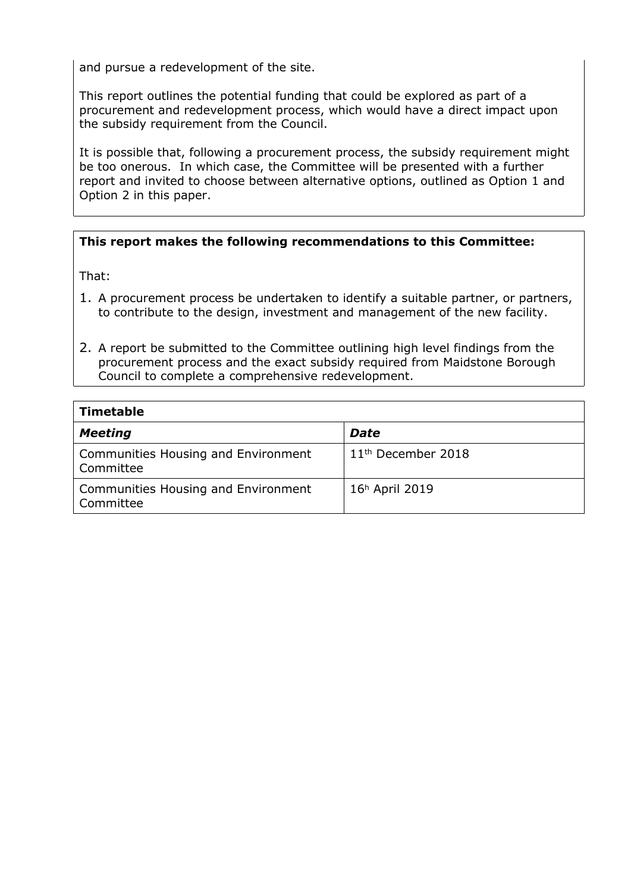and pursue a redevelopment of the site.

This report outlines the potential funding that could be explored as part of a procurement and redevelopment process, which would have a direct impact upon the subsidy requirement from the Council.

It is possible that, following a procurement process, the subsidy requirement might be too onerous. In which case, the Committee will be presented with a further report and invited to choose between alternative options, outlined as Option 1 and Option 2 in this paper.

#### **This report makes the following recommendations to this Committee:**

That:

- 1. A procurement process be undertaken to identify a suitable partner, or partners, to contribute to the design, investment and management of the new facility.
- 2. A report be submitted to the Committee outlining high level findings from the procurement process and the exact subsidy required from Maidstone Borough Council to complete a comprehensive redevelopment.

| <b>Timetable</b>                                 |                                |
|--------------------------------------------------|--------------------------------|
| <b>Meeting</b>                                   | <b>Date</b>                    |
| Communities Housing and Environment<br>Committee | 11 <sup>th</sup> December 2018 |
| Communities Housing and Environment<br>Committee | 16 <sup>h</sup> April 2019     |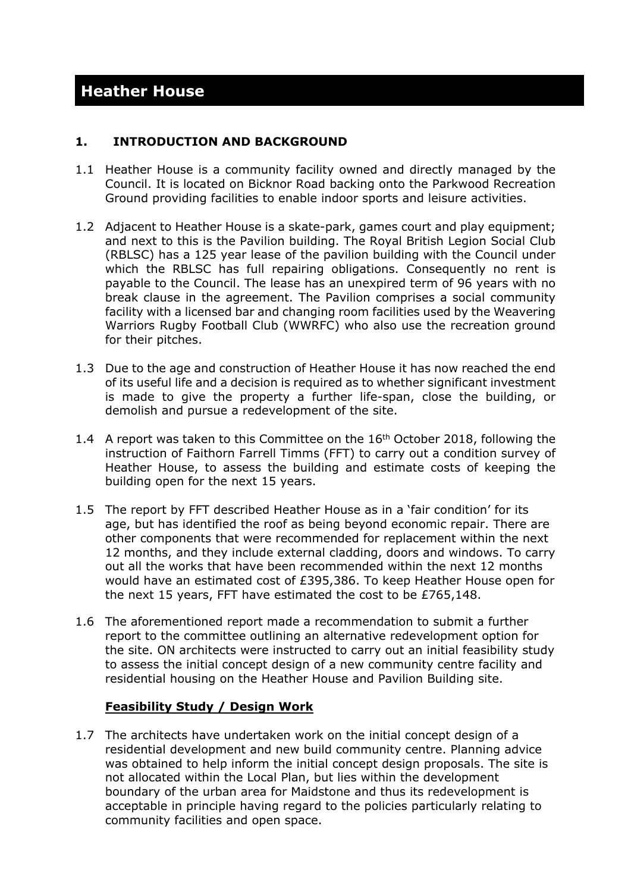# **1. INTRODUCTION AND BACKGROUND**

- 1.1 Heather House is a community facility owned and directly managed by the Council. It is located on Bicknor Road backing onto the Parkwood Recreation Ground providing facilities to enable indoor sports and leisure activities.
- 1.2 Adjacent to Heather House is a skate-park, games court and play equipment; and next to this is the Pavilion building. The Royal British Legion Social Club (RBLSC) has a 125 year lease of the pavilion building with the Council under which the RBLSC has full repairing obligations. Consequently no rent is payable to the Council. The lease has an unexpired term of 96 years with no break clause in the agreement. The Pavilion comprises a social community facility with a licensed bar and changing room facilities used by the Weavering Warriors Rugby Football Club (WWRFC) who also use the recreation ground for their pitches.
- 1.3 Due to the age and construction of Heather House it has now reached the end of its useful life and a decision is required as to whether significant investment is made to give the property a further life-span, close the building, or demolish and pursue a redevelopment of the site.
- 1.4 A report was taken to this Committee on the 16<sup>th</sup> October 2018, following the instruction of Faithorn Farrell Timms (FFT) to carry out a condition survey of Heather House, to assess the building and estimate costs of keeping the building open for the next 15 years.
- 1.5 The report by FFT described Heather House as in a 'fair condition' for its age, but has identified the roof as being beyond economic repair. There are other components that were recommended for replacement within the next 12 months, and they include external cladding, doors and windows. To carry out all the works that have been recommended within the next 12 months would have an estimated cost of £395,386. To keep Heather House open for the next 15 years, FFT have estimated the cost to be £765,148.
- 1.6 The aforementioned report made a recommendation to submit a further report to the committee outlining an alternative redevelopment option for the site. ON architects were instructed to carry out an initial feasibility study to assess the initial concept design of a new community centre facility and residential housing on the Heather House and Pavilion Building site.

#### **Feasibility Study / Design Work**

1.7 The architects have undertaken work on the initial concept design of a residential development and new build community centre. Planning advice was obtained to help inform the initial concept design proposals. The site is not allocated within the Local Plan, but lies within the development boundary of the urban area for Maidstone and thus its redevelopment is acceptable in principle having regard to the policies particularly relating to community facilities and open space.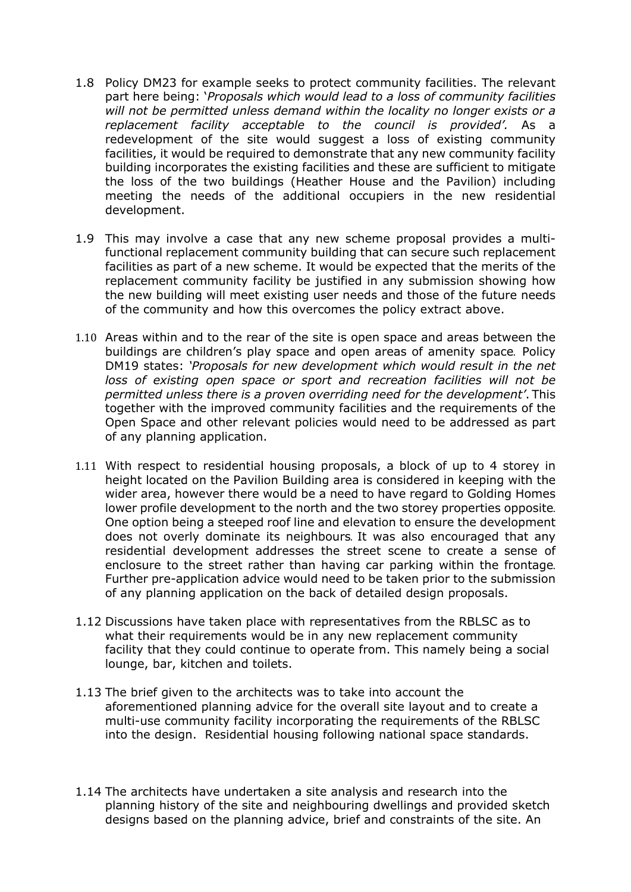- 1.8 Policy DM23 for example seeks to protect community facilities. The relevant part here being: '*Proposals which would lead to a loss of community facilities will not be permitted unless demand within the locality no longer exists or a replacement facility acceptable to the council is provided'.* As a redevelopment of the site would suggest a loss of existing community facilities, it would be required to demonstrate that any new community facility building incorporates the existing facilities and these are sufficient to mitigate the loss of the two buildings (Heather House and the Pavilion) including meeting the needs of the additional occupiers in the new residential development.
- 1.9 This may involve a case that any new scheme proposal provides a multifunctional replacement community building that can secure such replacement facilities as part of a new scheme. It would be expected that the merits of the replacement community facility be justified in any submission showing how the new building will meet existing user needs and those of the future needs of the community and how this overcomes the policy extract above.
- 1.10 Areas within and to the rear of the site is open space and areas between the buildings are children's play space and open areas of amenity space. Policy DM19 states: *'Proposals for new development which would result in the net loss of existing open space or sport and recreation facilities will not be permitted unless there is a proven overriding need for the development'*. This together with the improved community facilities and the requirements of the Open Space and other relevant policies would need to be addressed as part of any planning application.
- 1.11 With respect to residential housing proposals, a block of up to 4 storey in height located on the Pavilion Building area is considered in keeping with the wider area, however there would be a need to have regard to Golding Homes lower profile development to the north and the two storey properties opposite. One option being a steeped roof line and elevation to ensure the development does not overly dominate its neighbours. It was also encouraged that any residential development addresses the street scene to create a sense of enclosure to the street rather than having car parking within the frontage. Further pre-application advice would need to be taken prior to the submission of any planning application on the back of detailed design proposals.
- 1.12 Discussions have taken place with representatives from the RBLSC as to what their requirements would be in any new replacement community facility that they could continue to operate from. This namely being a social lounge, bar, kitchen and toilets.
- 1.13 The brief given to the architects was to take into account the aforementioned planning advice for the overall site layout and to create a multi-use community facility incorporating the requirements of the RBLSC into the design. Residential housing following national space standards.
- 1.14 The architects have undertaken a site analysis and research into the planning history of the site and neighbouring dwellings and provided sketch designs based on the planning advice, brief and constraints of the site. An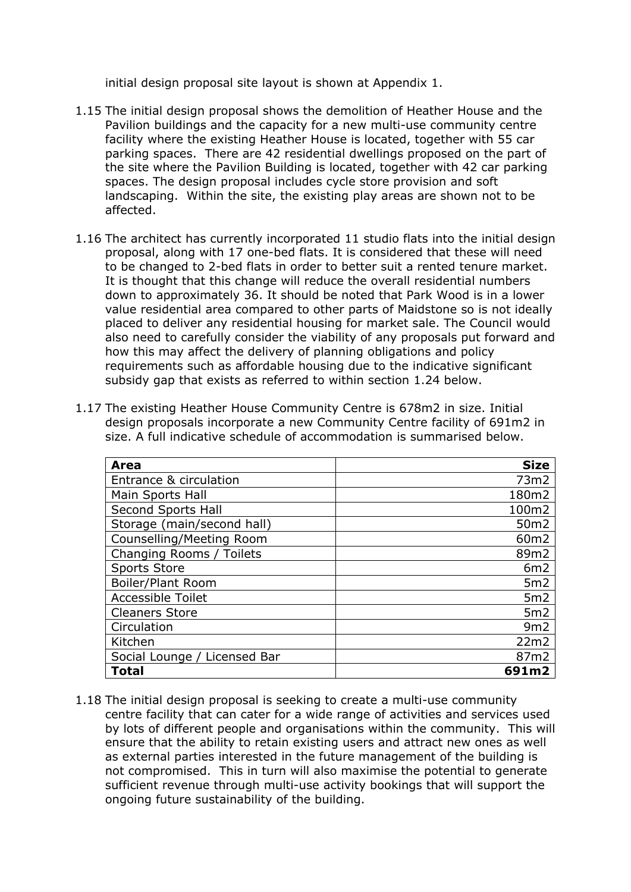initial design proposal site layout is shown at Appendix 1.

- 1.15 The initial design proposal shows the demolition of Heather House and the Pavilion buildings and the capacity for a new multi-use community centre facility where the existing Heather House is located, together with 55 car parking spaces. There are 42 residential dwellings proposed on the part of the site where the Pavilion Building is located, together with 42 car parking spaces. The design proposal includes cycle store provision and soft landscaping. Within the site, the existing play areas are shown not to be affected.
- 1.16 The architect has currently incorporated 11 studio flats into the initial design proposal, along with 17 one-bed flats. It is considered that these will need to be changed to 2-bed flats in order to better suit a rented tenure market. It is thought that this change will reduce the overall residential numbers down to approximately 36. It should be noted that Park Wood is in a lower value residential area compared to other parts of Maidstone so is not ideally placed to deliver any residential housing for market sale. The Council would also need to carefully consider the viability of any proposals put forward and how this may affect the delivery of planning obligations and policy requirements such as affordable housing due to the indicative significant subsidy gap that exists as referred to within section 1.24 below.
- 1.17 The existing Heather House Community Centre is 678m2 in size. Initial design proposals incorporate a new Community Centre facility of 691m2 in size. A full indicative schedule of accommodation is summarised below.

| Area                         | <b>Size</b>      |
|------------------------------|------------------|
| Entrance & circulation       | 73m2             |
| Main Sports Hall             | 180m2            |
| Second Sports Hall           | 100m2            |
| Storage (main/second hall)   | 50 <sub>m2</sub> |
| Counselling/Meeting Room     | 60 <sub>m2</sub> |
| Changing Rooms / Toilets     | 89m2             |
| <b>Sports Store</b>          | 6m2              |
| Boiler/Plant Room            | 5m2              |
| <b>Accessible Toilet</b>     | 5m2              |
| <b>Cleaners Store</b>        | 5m2              |
| Circulation                  | 9m2              |
| Kitchen                      | 22m2             |
| Social Lounge / Licensed Bar | 87m2             |
| Total                        | 691m2            |

1.18 The initial design proposal is seeking to create a multi-use community centre facility that can cater for a wide range of activities and services used by lots of different people and organisations within the community. This will ensure that the ability to retain existing users and attract new ones as well as external parties interested in the future management of the building is not compromised. This in turn will also maximise the potential to generate sufficient revenue through multi-use activity bookings that will support the ongoing future sustainability of the building.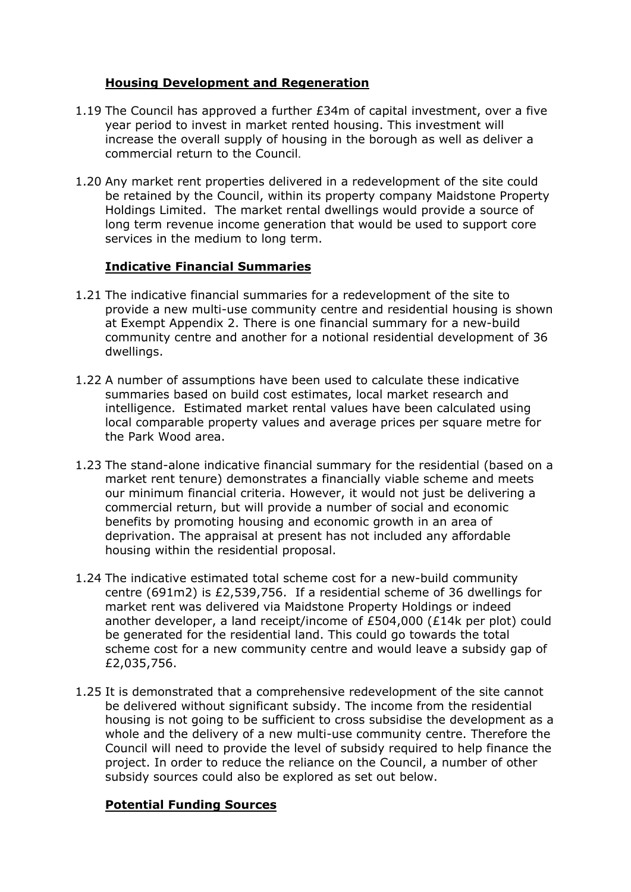# **Housing Development and Regeneration**

- 1.19 The Council has approved a further £34m of capital investment, over a five year period to invest in market rented housing. This investment will increase the overall supply of housing in the borough as well as deliver a commercial return to the Council.
- 1.20 Any market rent properties delivered in a redevelopment of the site could be retained by the Council, within its property company Maidstone Property Holdings Limited. The market rental dwellings would provide a source of long term revenue income generation that would be used to support core services in the medium to long term.

#### **Indicative Financial Summaries**

- 1.21 The indicative financial summaries for a redevelopment of the site to provide a new multi-use community centre and residential housing is shown at Exempt Appendix 2. There is one financial summary for a new-build community centre and another for a notional residential development of 36 dwellings.
- 1.22 A number of assumptions have been used to calculate these indicative summaries based on build cost estimates, local market research and intelligence. Estimated market rental values have been calculated using local comparable property values and average prices per square metre for the Park Wood area.
- 1.23 The stand-alone indicative financial summary for the residential (based on a market rent tenure) demonstrates a financially viable scheme and meets our minimum financial criteria. However, it would not just be delivering a commercial return, but will provide a number of social and economic benefits by promoting housing and economic growth in an area of deprivation. The appraisal at present has not included any affordable housing within the residential proposal.
- 1.24 The indicative estimated total scheme cost for a new-build community centre (691m2) is £2,539,756. If a residential scheme of 36 dwellings for market rent was delivered via Maidstone Property Holdings or indeed another developer, a land receipt/income of £504,000 (£14k per plot) could be generated for the residential land. This could go towards the total scheme cost for a new community centre and would leave a subsidy gap of £2,035,756.
- 1.25 It is demonstrated that a comprehensive redevelopment of the site cannot be delivered without significant subsidy. The income from the residential housing is not going to be sufficient to cross subsidise the development as a whole and the delivery of a new multi-use community centre. Therefore the Council will need to provide the level of subsidy required to help finance the project. In order to reduce the reliance on the Council, a number of other subsidy sources could also be explored as set out below.

#### **Potential Funding Sources**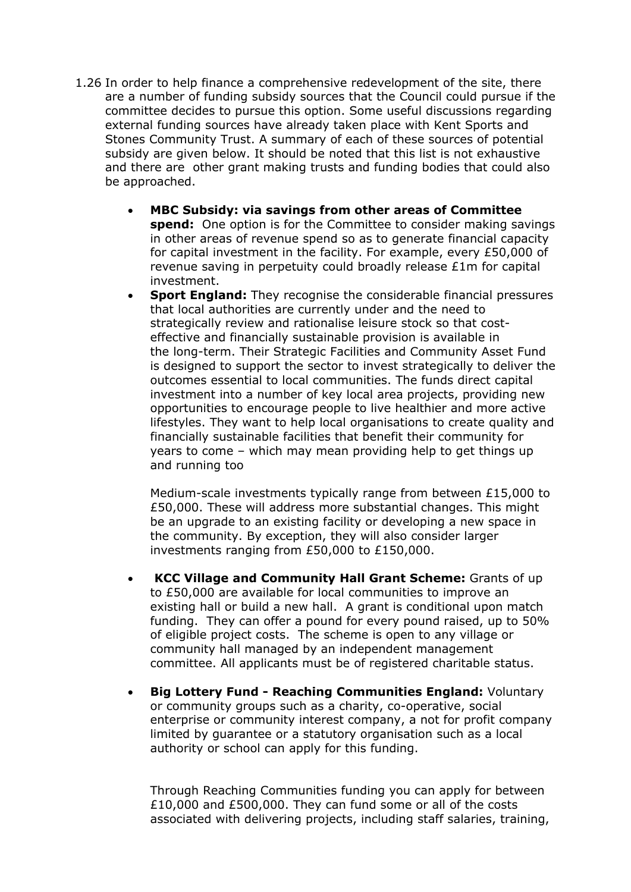- 1.26 In order to help finance a comprehensive redevelopment of the site, there are a number of funding subsidy sources that the Council could pursue if the committee decides to pursue this option. Some useful discussions regarding external funding sources have already taken place with Kent Sports and Stones Community Trust. A summary of each of these sources of potential subsidy are given below. It should be noted that this list is not exhaustive and there are other grant making trusts and funding bodies that could also be approached.
	- **MBC Subsidy: via savings from other areas of Committee spend:** One option is for the Committee to consider making savings in other areas of revenue spend so as to generate financial capacity for capital investment in the facility. For example, every £50,000 of revenue saving in perpetuity could broadly release £1m for capital investment.
	- **Sport England:** They recognise the considerable financial pressures that local authorities are currently under and the need to strategically review and rationalise leisure stock so that costeffective and financially sustainable provision is available in the long-term. Their Strategic Facilities and Community Asset Fund is designed to support the sector to invest strategically to deliver the outcomes essential to local communities. The funds direct capital investment into a number of key local area projects, providing new opportunities to encourage people to live healthier and more active lifestyles. They want to help local organisations to create quality and financially sustainable facilities that benefit their community for years to come – which may mean providing help to get things up and running too

Medium-scale investments typically range from between £15,000 to £50,000. These will address more substantial changes. This might be an upgrade to an existing facility or developing a new space in the community. By exception, they will also consider larger investments ranging from £50,000 to £150,000.

- **KCC Village and Community Hall Grant Scheme:** Grants of up to £50,000 are available for local communities to improve an existing hall or build a new hall. A grant is conditional upon match funding. They can offer a pound for every pound raised, up to 50% of eligible project costs. The scheme is open to any village or community hall managed by an independent management committee. All applicants must be of registered charitable status.
- **Big Lottery Fund - Reaching Communities England:** Voluntary or community groups such as a charity, co-operative, social enterprise or community interest company, a not for profit company limited by guarantee or a statutory organisation such as a local authority or school can apply for this funding.

Through Reaching Communities funding you can apply for between £10,000 and £500,000. They can fund some or all of the costs associated with delivering projects, including staff salaries, training,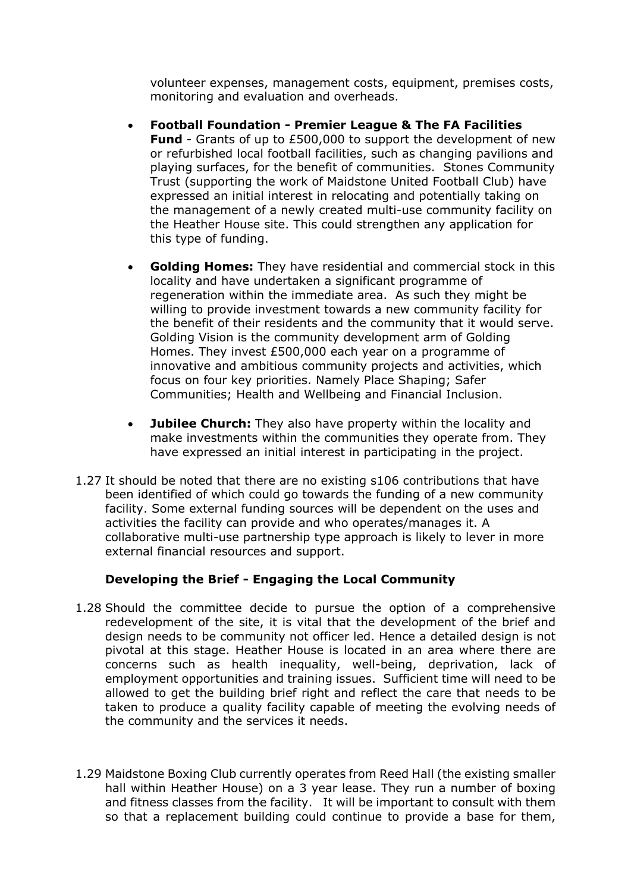volunteer expenses, management costs, equipment, premises costs, monitoring and evaluation and overheads.

- **Football Foundation - Premier League & The FA Facilities Fund** - Grants of up to £500,000 to support the development of new or refurbished local football facilities, such as changing pavilions and playing surfaces, for the benefit of communities. Stones Community Trust (supporting the work of Maidstone United Football Club) have expressed an initial interest in relocating and potentially taking on the management of a newly created multi-use community facility on the Heather House site. This could strengthen any application for this type of funding.
- **Golding Homes:** They have residential and commercial stock in this locality and have undertaken a significant programme of regeneration within the immediate area.As such they might be willing to provide investment towards a new community facility for the benefit of their residents and the community that it would serve. Golding Vision is the community development arm of Golding Homes. They invest £500,000 each year on a programme of innovative and ambitious community projects and activities, which focus on four key priorities. Namely Place Shaping; Safer Communities; Health and Wellbeing and Financial Inclusion.
- **Jubilee Church:** They also have property within the locality and make investments within the communities they operate from. They have expressed an initial interest in participating in the project.
- 1.27 It should be noted that there are no existing s106 contributions that have been identified of which could go towards the funding of a new community facility. Some external funding sources will be dependent on the uses and activities the facility can provide and who operates/manages it. A collaborative multi-use partnership type approach is likely to lever in more external financial resources and support.

# **Developing the Brief - Engaging the Local Community**

- 1.28 Should the committee decide to pursue the option of a comprehensive redevelopment of the site, it is vital that the development of the brief and design needs to be community not officer led. Hence a detailed design is not pivotal at this stage. Heather House is located in an area where there are concerns such as health inequality, well-being, deprivation, lack of employment opportunities and training issues. Sufficient time will need to be allowed to get the building brief right and reflect the care that needs to be taken to produce a quality facility capable of meeting the evolving needs of the community and the services it needs.
- 1.29 Maidstone Boxing Club currently operates from Reed Hall (the existing smaller hall within Heather House) on a 3 year lease. They run a number of boxing and fitness classes from the facility. It will be important to consult with them so that a replacement building could continue to provide a base for them,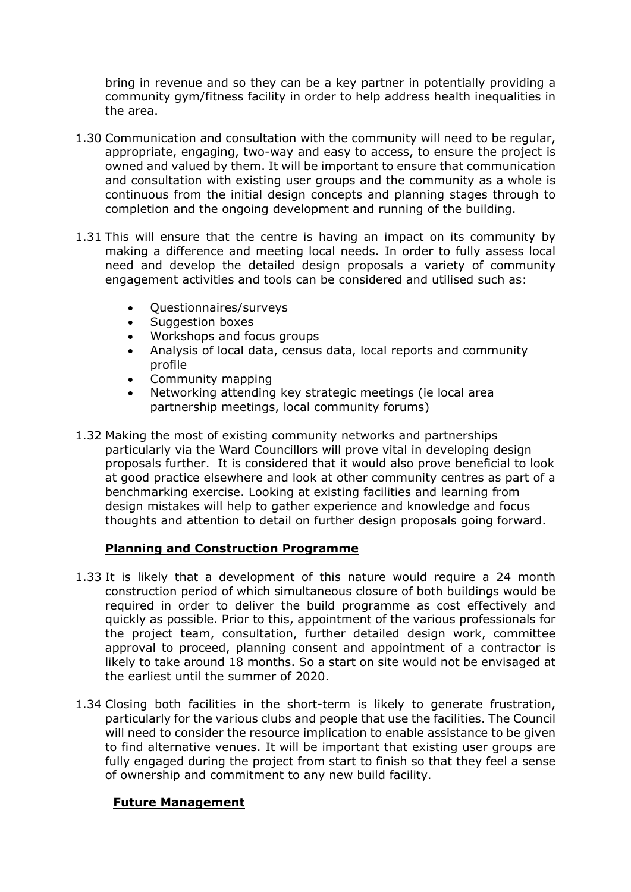bring in revenue and so they can be a key partner in potentially providing a community gym/fitness facility in order to help address health inequalities in the area.

- 1.30 Communication and consultation with the community will need to be regular, appropriate, engaging, two-way and easy to access, to ensure the project is owned and valued by them. It will be important to ensure that communication and consultation with existing user groups and the community as a whole is continuous from the initial design concepts and planning stages through to completion and the ongoing development and running of the building.
- 1.31 This will ensure that the centre is having an impact on its community by making a difference and meeting local needs. In order to fully assess local need and develop the detailed design proposals a variety of community engagement activities and tools can be considered and utilised such as:
	- Questionnaires/surveys
	- Suggestion boxes
	- Workshops and focus groups
	- Analysis of local data, census data, local reports and community profile
	- Community mapping
	- Networking attending key strategic meetings (ie local area partnership meetings, local community forums)
- 1.32 Making the most of existing community networks and partnerships particularly via the Ward Councillors will prove vital in developing design proposals further. It is considered that it would also prove beneficial to look at good practice elsewhere and look at other community centres as part of a benchmarking exercise. Looking at existing facilities and learning from design mistakes will help to gather experience and knowledge and focus thoughts and attention to detail on further design proposals going forward.

# **Planning and Construction Programme**

- 1.33 It is likely that a development of this nature would require a 24 month construction period of which simultaneous closure of both buildings would be required in order to deliver the build programme as cost effectively and quickly as possible. Prior to this, appointment of the various professionals for the project team, consultation, further detailed design work, committee approval to proceed, planning consent and appointment of a contractor is likely to take around 18 months. So a start on site would not be envisaged at the earliest until the summer of 2020.
- 1.34 Closing both facilities in the short-term is likely to generate frustration, particularly for the various clubs and people that use the facilities. The Council will need to consider the resource implication to enable assistance to be given to find alternative venues. It will be important that existing user groups are fully engaged during the project from start to finish so that they feel a sense of ownership and commitment to any new build facility.

# **Future Management**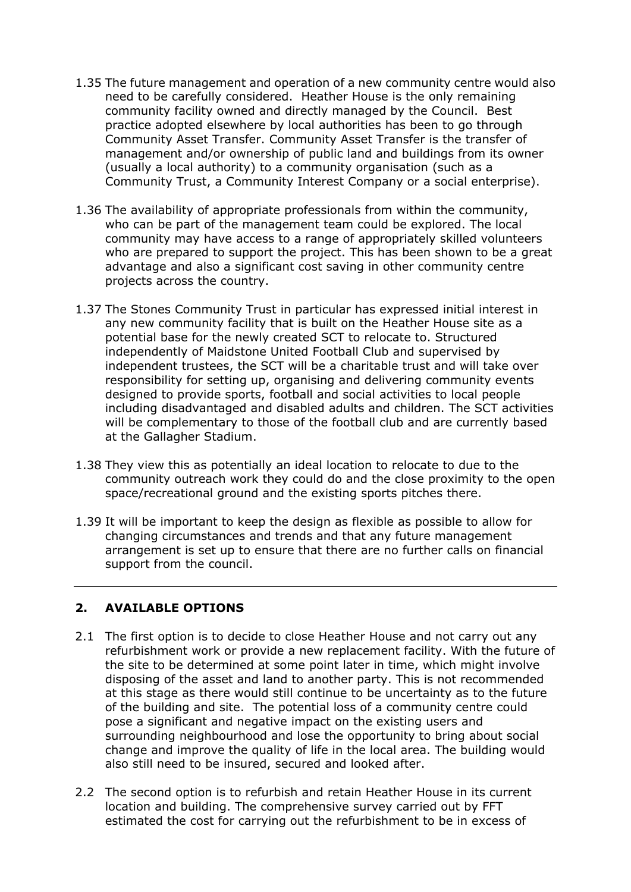- 1.35 The future management and operation of a new community centre would also need to be carefully considered. Heather House is the only remaining community facility owned and directly managed by the Council. Best practice adopted elsewhere by local authorities has been to go through Community Asset Transfer. Community Asset Transfer is the transfer of management and/or ownership of public land and buildings from its owner (usually a local authority) to a community organisation (such as a Community Trust, a Community Interest Company or a social enterprise).
- 1.36 The availability of appropriate professionals from within the community, who can be part of the management team could be explored. The local community may have access to a range of appropriately skilled volunteers who are prepared to support the project. This has been shown to be a great advantage and also a significant cost saving in other community centre projects across the country.
- 1.37 The Stones Community Trust in particular has expressed initial interest in any new community facility that is built on the Heather House site as a potential base for the newly created SCT to relocate to. Structured independently of Maidstone United Football Club and supervised by independent trustees, the SCT will be a charitable trust and will take over responsibility for setting up, organising and delivering community events designed to provide sports, football and social activities to local people including disadvantaged and disabled adults and children. The SCT activities will be complementary to those of the football club and are currently based at the Gallagher Stadium.
- 1.38 They view this as potentially an ideal location to relocate to due to the community outreach work they could do and the close proximity to the open space/recreational ground and the existing sports pitches there.
- 1.39 It will be important to keep the design as flexible as possible to allow for changing circumstances and trends and that any future management arrangement is set up to ensure that there are no further calls on financial support from the council.

#### **2. AVAILABLE OPTIONS**

- 2.1 The first option is to decide to close Heather House and not carry out any refurbishment work or provide a new replacement facility. With the future of the site to be determined at some point later in time, which might involve disposing of the asset and land to another party. This is not recommended at this stage as there would still continue to be uncertainty as to the future of the building and site. The potential loss of a community centre could pose a significant and negative impact on the existing users and surrounding neighbourhood and lose the opportunity to bring about social change and improve the quality of life in the local area. The building would also still need to be insured, secured and looked after.
- 2.2 The second option is to refurbish and retain Heather House in its current location and building. The comprehensive survey carried out by FFT estimated the cost for carrying out the refurbishment to be in excess of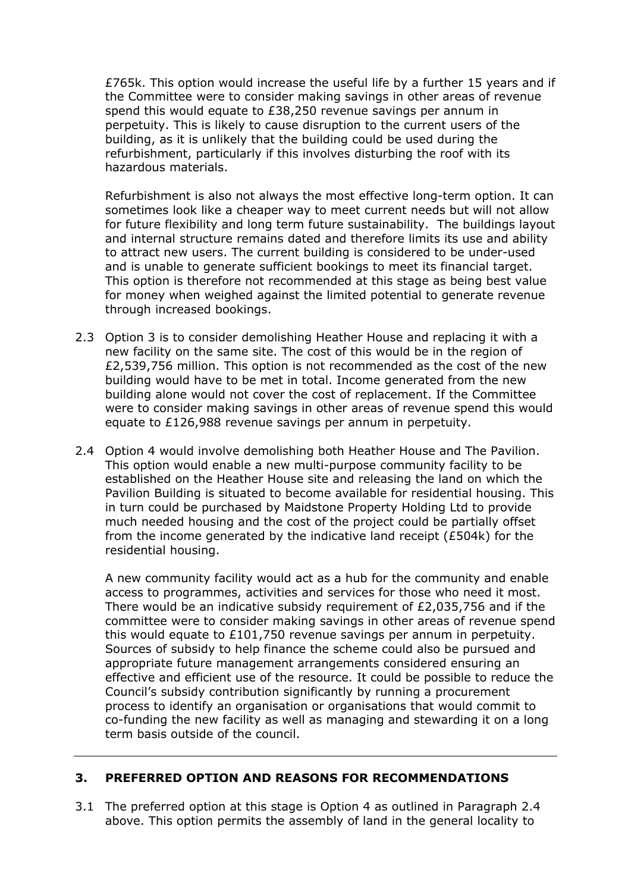£765k. This option would increase the useful life by a further 15 years and if the Committee were to consider making savings in other areas of revenue spend this would equate to £38,250 revenue savings per annum in perpetuity. This is likely to cause disruption to the current users of the building, as it is unlikely that the building could be used during the refurbishment, particularly if this involves disturbing the roof with its hazardous materials.

Refurbishment is also not always the most effective long-term option. It can sometimes look like a cheaper way to meet current needs but will not allow for future flexibility and long term future sustainability. The buildings layout and internal structure remains dated and therefore limits its use and ability to attract new users. The current building is considered to be under-used and is unable to generate sufficient bookings to meet its financial target. This option is therefore not recommended at this stage as being best value for money when weighed against the limited potential to generate revenue through increased bookings.

- 2.3 Option 3 is to consider demolishing Heather House and replacing it with a new facility on the same site. The cost of this would be in the region of £2,539,756 million. This option is not recommended as the cost of the new building would have to be met in total. Income generated from the new building alone would not cover the cost of replacement. If the Committee were to consider making savings in other areas of revenue spend this would equate to £126,988 revenue savings per annum in perpetuity.
- 2.4 Option 4 would involve demolishing both Heather House and The Pavilion. This option would enable a new multi-purpose community facility to be established on the Heather House site and releasing the land on which the Pavilion Building is situated to become available for residential housing. This in turn could be purchased by Maidstone Property Holding Ltd to provide much needed housing and the cost of the project could be partially offset from the income generated by the indicative land receipt (£504k) for the residential housing.

A new community facility would act as a hub for the community and enable access to programmes, activities and services for those who need it most. There would be an indicative subsidy requirement of  $E2,035,756$  and if the committee were to consider making savings in other areas of revenue spend this would equate to £101,750 revenue savings per annum in perpetuity. Sources of subsidy to help finance the scheme could also be pursued and appropriate future management arrangements considered ensuring an effective and efficient use of the resource. It could be possible to reduce the Council's subsidy contribution significantly by running a procurement process to identify an organisation or organisations that would commit to co-funding the new facility as well as managing and stewarding it on a long term basis outside of the council.

#### **3. PREFERRED OPTION AND REASONS FOR RECOMMENDATIONS**

3.1 The preferred option at this stage is Option 4 as outlined in Paragraph 2.4 above. This option permits the assembly of land in the general locality to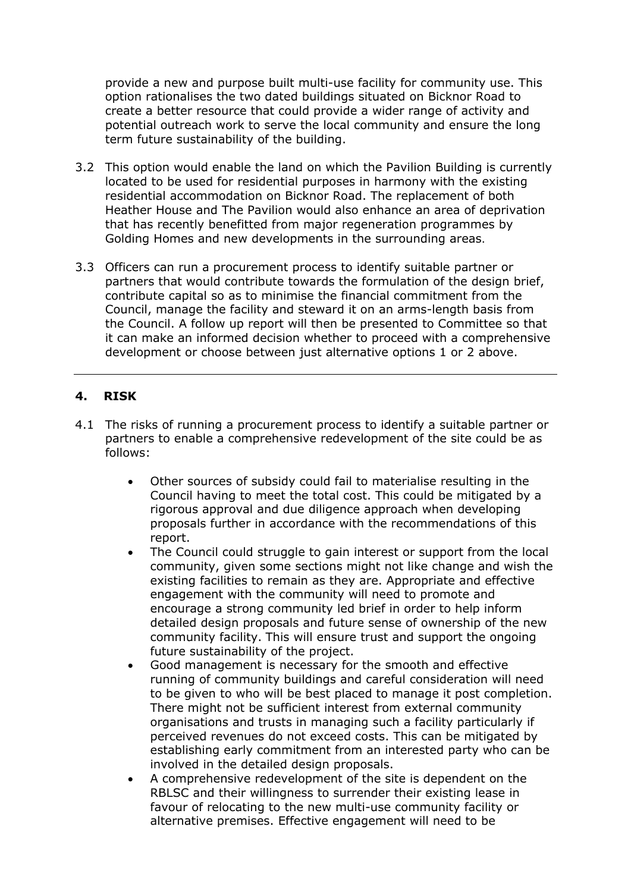provide a new and purpose built multi-use facility for community use. This option rationalises the two dated buildings situated on Bicknor Road to create a better resource that could provide a wider range of activity and potential outreach work to serve the local community and ensure the long term future sustainability of the building.

- 3.2 This option would enable the land on which the Pavilion Building is currently located to be used for residential purposes in harmony with the existing residential accommodation on Bicknor Road. The replacement of both Heather House and The Pavilion would also enhance an area of deprivation that has recently benefitted from major regeneration programmes by Golding Homes and new developments in the surrounding areas.
- 3.3 Officers can run a procurement process to identify suitable partner or partners that would contribute towards the formulation of the design brief, contribute capital so as to minimise the financial commitment from the Council, manage the facility and steward it on an arms-length basis from the Council. A follow up report will then be presented to Committee so that it can make an informed decision whether to proceed with a comprehensive development or choose between just alternative options 1 or 2 above.

# **4. RISK**

- 4.1 The risks of running a procurement process to identify a suitable partner or partners to enable a comprehensive redevelopment of the site could be as follows:
	- Other sources of subsidy could fail to materialise resulting in the Council having to meet the total cost. This could be mitigated by a rigorous approval and due diligence approach when developing proposals further in accordance with the recommendations of this report.
	- The Council could struggle to gain interest or support from the local community, given some sections might not like change and wish the existing facilities to remain as they are. Appropriate and effective engagement with the community will need to promote and encourage a strong community led brief in order to help inform detailed design proposals and future sense of ownership of the new community facility. This will ensure trust and support the ongoing future sustainability of the project.
	- Good management is necessary for the smooth and effective running of community buildings and careful consideration will need to be given to who will be best placed to manage it post completion. There might not be sufficient interest from external community organisations and trusts in managing such a facility particularly if perceived revenues do not exceed costs. This can be mitigated by establishing early commitment from an interested party who can be involved in the detailed design proposals.
	- A comprehensive redevelopment of the site is dependent on the RBLSC and their willingness to surrender their existing lease in favour of relocating to the new multi-use community facility or alternative premises. Effective engagement will need to be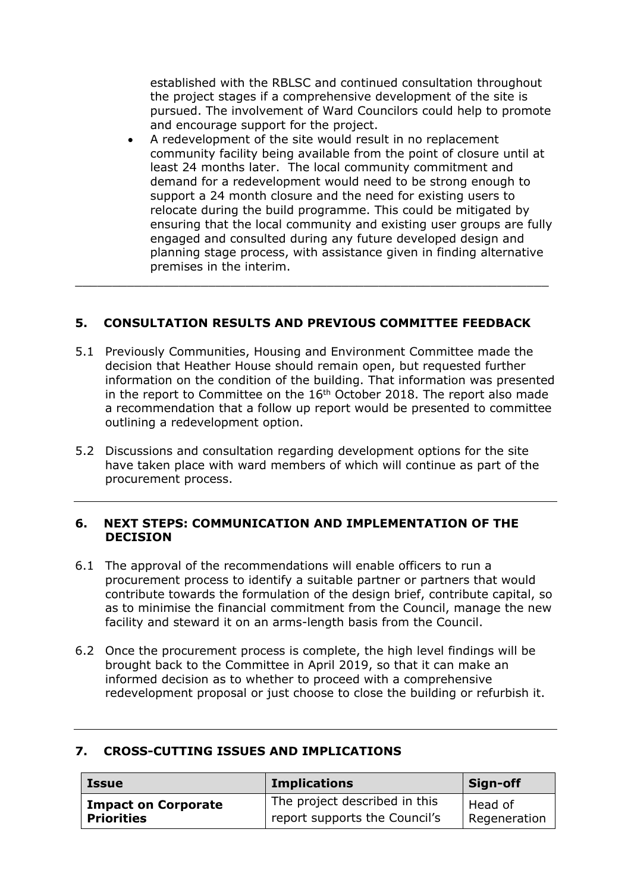established with the RBLSC and continued consultation throughout the project stages if a comprehensive development of the site is pursued. The involvement of Ward Councilors could help to promote and encourage support for the project.

 A redevelopment of the site would result in no replacement community facility being available from the point of closure until at least 24 months later. The local community commitment and demand for a redevelopment would need to be strong enough to support a 24 month closure and the need for existing users to relocate during the build programme. This could be mitigated by ensuring that the local community and existing user groups are fully engaged and consulted during any future developed design and planning stage process, with assistance given in finding alternative premises in the interim.

# **5. CONSULTATION RESULTS AND PREVIOUS COMMITTEE FEEDBACK**

\_\_\_\_\_\_\_\_\_\_\_\_\_\_\_\_\_\_\_\_\_\_\_\_\_\_\_\_\_\_\_\_\_\_\_\_\_\_\_\_\_\_\_\_\_\_\_\_\_\_\_\_\_\_\_\_\_\_\_\_\_\_\_\_

- 5.1 Previously Communities, Housing and Environment Committee made the decision that Heather House should remain open, but requested further information on the condition of the building. That information was presented in the report to Committee on the 16<sup>th</sup> October 2018. The report also made a recommendation that a follow up report would be presented to committee outlining a redevelopment option.
- 5.2 Discussions and consultation regarding development options for the site have taken place with ward members of which will continue as part of the procurement process.

#### **6. NEXT STEPS: COMMUNICATION AND IMPLEMENTATION OF THE DECISION**

- 6.1 The approval of the recommendations will enable officers to run a procurement process to identify a suitable partner or partners that would contribute towards the formulation of the design brief, contribute capital, so as to minimise the financial commitment from the Council, manage the new facility and steward it on an arms-length basis from the Council.
- 6.2 Once the procurement process is complete, the high level findings will be brought back to the Committee in April 2019, so that it can make an informed decision as to whether to proceed with a comprehensive redevelopment proposal or just choose to close the building or refurbish it.

| <b>Issue</b>               | <b>Implications</b>           | Sign-off     |
|----------------------------|-------------------------------|--------------|
| <b>Impact on Corporate</b> | The project described in this | Head of      |
| <b>Priorities</b>          | report supports the Council's | Regeneration |

#### **7. CROSS-CUTTING ISSUES AND IMPLICATIONS**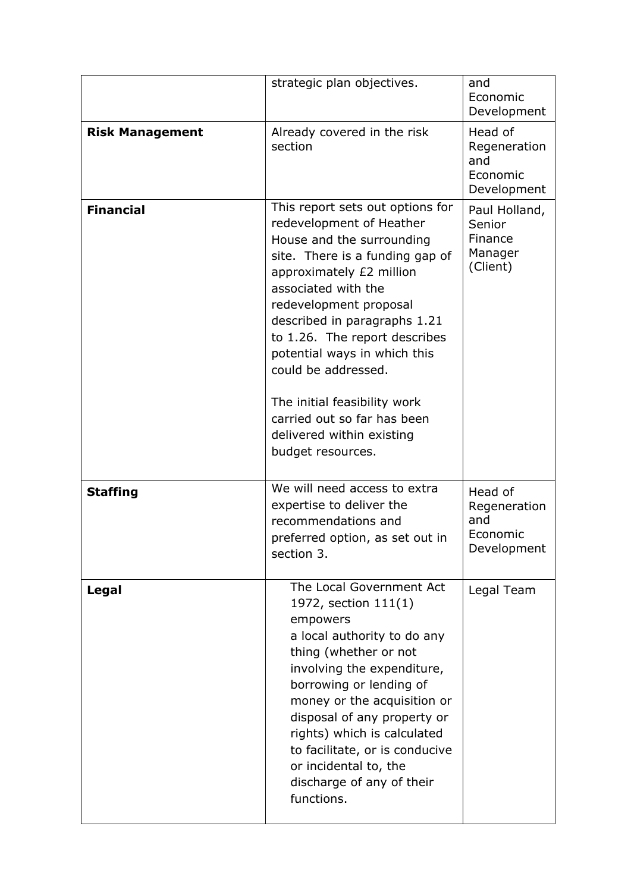|                        | strategic plan objectives.                                                                                                                                                                                                                                                                                                                                                                                                                         | and<br>Economic<br>Development                            |
|------------------------|----------------------------------------------------------------------------------------------------------------------------------------------------------------------------------------------------------------------------------------------------------------------------------------------------------------------------------------------------------------------------------------------------------------------------------------------------|-----------------------------------------------------------|
| <b>Risk Management</b> | Already covered in the risk<br>section                                                                                                                                                                                                                                                                                                                                                                                                             | Head of<br>Regeneration<br>and<br>Economic<br>Development |
| <b>Financial</b>       | This report sets out options for<br>redevelopment of Heather<br>House and the surrounding<br>site. There is a funding gap of<br>approximately £2 million<br>associated with the<br>redevelopment proposal<br>described in paragraphs 1.21<br>to 1.26. The report describes<br>potential ways in which this<br>could be addressed.<br>The initial feasibility work<br>carried out so far has been<br>delivered within existing<br>budget resources. | Paul Holland,<br>Senior<br>Finance<br>Manager<br>(Client) |
| <b>Staffing</b>        | We will need access to extra<br>expertise to deliver the<br>recommendations and<br>preferred option, as set out in<br>section 3.                                                                                                                                                                                                                                                                                                                   | Head of<br>Regeneration<br>and<br>Economic<br>Development |
| Legal                  | The Local Government Act<br>1972, section 111(1)<br>empowers<br>a local authority to do any<br>thing (whether or not<br>involving the expenditure,<br>borrowing or lending of<br>money or the acquisition or<br>disposal of any property or<br>rights) which is calculated<br>to facilitate, or is conducive<br>or incidental to, the<br>discharge of any of their<br>functions.                                                                   | Legal Team                                                |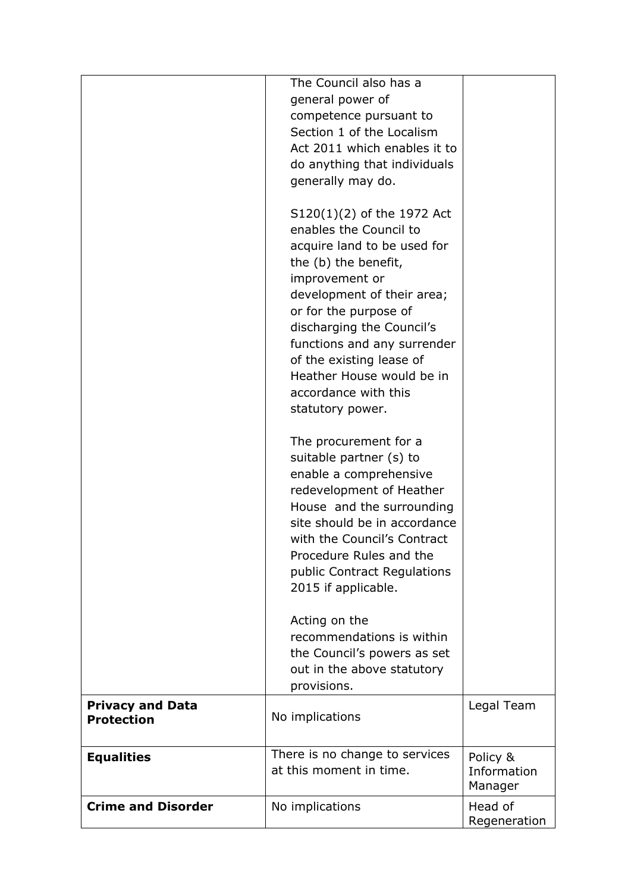|                                              | The Council also has a<br>general power of<br>competence pursuant to<br>Section 1 of the Localism<br>Act 2011 which enables it to<br>do anything that individuals<br>generally may do.<br>$S120(1)(2)$ of the 1972 Act<br>enables the Council to<br>acquire land to be used for<br>the (b) the benefit,<br>improvement or<br>development of their area;<br>or for the purpose of<br>discharging the Council's<br>functions and any surrender<br>of the existing lease of<br>Heather House would be in<br>accordance with this<br>statutory power.<br>The procurement for a<br>suitable partner (s) to<br>enable a comprehensive<br>redevelopment of Heather<br>House and the surrounding<br>site should be in accordance<br>with the Council's Contract<br>Procedure Rules and the<br>public Contract Regulations<br>2015 if applicable.<br>Acting on the<br>recommendations is within |                                    |
|----------------------------------------------|----------------------------------------------------------------------------------------------------------------------------------------------------------------------------------------------------------------------------------------------------------------------------------------------------------------------------------------------------------------------------------------------------------------------------------------------------------------------------------------------------------------------------------------------------------------------------------------------------------------------------------------------------------------------------------------------------------------------------------------------------------------------------------------------------------------------------------------------------------------------------------------|------------------------------------|
|                                              | the Council's powers as set<br>out in the above statutory<br>provisions.                                                                                                                                                                                                                                                                                                                                                                                                                                                                                                                                                                                                                                                                                                                                                                                                               |                                    |
| <b>Privacy and Data</b><br><b>Protection</b> | No implications                                                                                                                                                                                                                                                                                                                                                                                                                                                                                                                                                                                                                                                                                                                                                                                                                                                                        | Legal Team                         |
| <b>Equalities</b>                            | There is no change to services<br>at this moment in time.                                                                                                                                                                                                                                                                                                                                                                                                                                                                                                                                                                                                                                                                                                                                                                                                                              | Policy &<br>Information<br>Manager |
| <b>Crime and Disorder</b>                    | No implications                                                                                                                                                                                                                                                                                                                                                                                                                                                                                                                                                                                                                                                                                                                                                                                                                                                                        | Head of<br>Regeneration            |